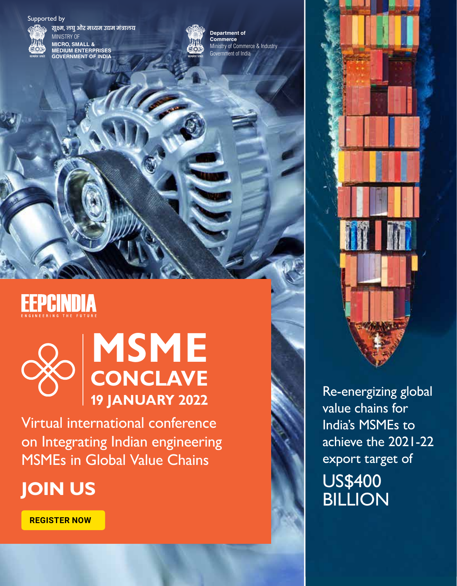#### Supported by



**सूक्ष्म, लघु और मध्यम उद्यम मंत्रालय** MINISTRY OF **MICRO, SMALL & MEDIUM ENTERPRISES GOVERNMENT OF INDIA**



Ministry of Commerce & Industry **Department of Commerce** Government of India

# **EEPCINDIA**



# **19 JANUARY 2022 MSME CONCLAVE**

Virtual international conference on Integrating Indian engineering MSMEs in Global Value Chains

## **JOIN US**

**REGISTER NOW**



Re-energizing global value chains for India's MSMEs to achieve the 2021-22 export target of US\$400<br>BILLION